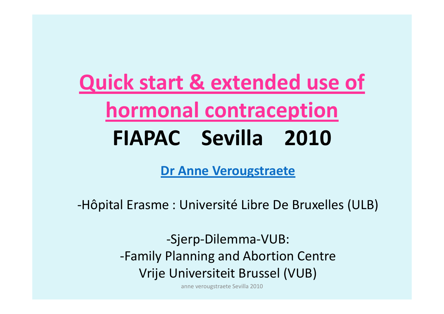**Quick start & extended use of hormonal contraception FIAPAC Sevilla 2010**

**Dr Anne Verougstraete**

‐Hôpital Erasme : Université Libre De Bruxelles (ULB)

‐Sjerp‐Dilemma‐VUB: ‐Family Planning and Abortion Centre Vrije Universiteit Brussel (VUB)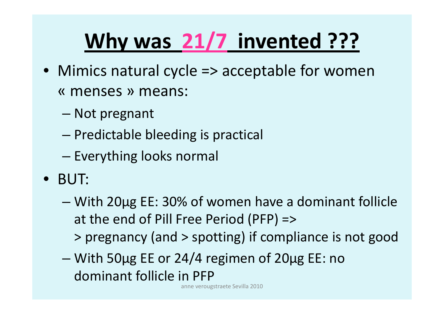# **Why was 21/7 invented ???**

- Mimics natural cycle => acceptable for women « menses » means:
	- –Not pregnant
	- –– Predictable bleeding is practical
	- –— Everything looks normal
- BUT:
	- – With 20µg EE: 30% of women have <sup>a</sup> dominant follicle at the end of Pill Free Period (PFP) => > pregnancy (and <sup>&</sup>gt; spotting) if compliance is not good
	- – With 50µg EE or 24/4 regimen of 20µg EE: no dominant follicle in PFP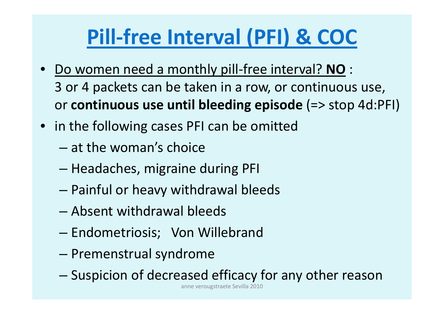## **Pill‐free Interval (PFI) & COC**

- • Do women need <sup>a</sup> monthly pill‐free interval? **NO** : 3 or 4 packets can be taken in <sup>a</sup> row, or continuous use, or **continuous use until bleeding episode** (=> stop 4d:PFI)
- in the following cases PFI can be omitted
	- at the woman's choice
	- –– Headaches, migraine during PFI
	- –Painful or heavy withdrawal bleeds
	- Absent withdrawal bleeds
	- –Endometriosis; Von Willebrand
	- –– Premenstrual syndrome
	- –Suspicion of decreased efficacy for any other reason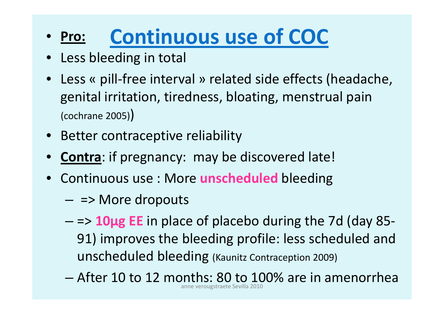#### • Pro: **Pro: Continuous use of COC**

- $\bullet$ Less bleeding in total
- $\bullet$ ● Less « pill-free interval » related side effects (headache, genital irritation, tiredness, bloating, menstrual pain (cochrane 2005))
- $\bullet$ Better contraceptive reliability
- •**Contra**: if pregnancy: may be discovered late!
- Continuous use : More **unscheduled** bleeding
	- $-$  => More dropouts
	- – => **10µg EE** in place of placebo during the 7d (day 85‐ 91) improves the bleeding profile: less scheduled and unscheduled bleeding (Kaunitz Contraception 2009)
	- After 10 to 12 months: 80 to 100% are in amenorrhea anneverougstraete Sevilla 2010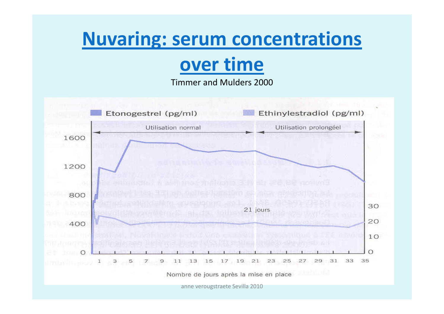#### **Nuvaring: serum concentrations**

#### over time

Timmer and Mulders 2000

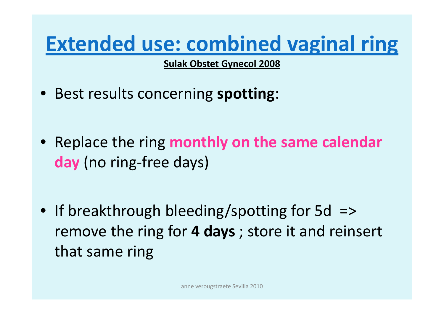#### **Extended use: combined vaginal ring**

**Sulak Obstet Gynecol 2008**

- Best results concerning **spotting**:
- Replace the ring **monthly on the same calendar day** (no ring‐free days)
- If breakthrough bleeding/spotting for 5d => remove the ring for **4 days** ; store it and reinsert that same ring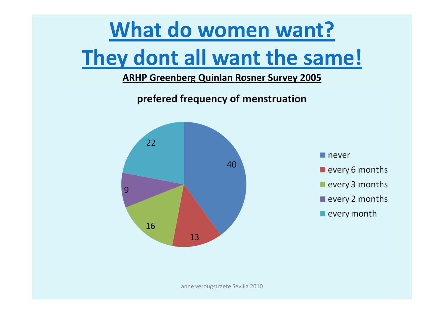#### What do women want?

#### They dont all want the same!

#### **ARHP Greenberg Quinlan Rosner Survey 2005**

prefered frequency of menstruation

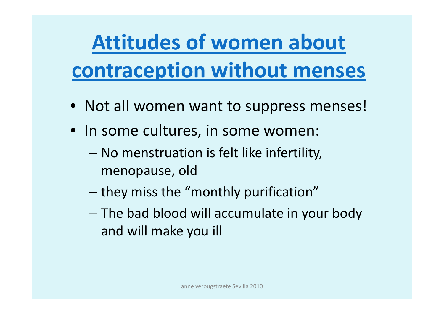# **Attitudes of women about contraception without menses**

- Not all women want to suppress menses!
- In some cultures, in some women:
	- – No menstruation is felt like infertility, menopause, old
	- – $-$  they miss the "monthly purification"
	- – The bad blood will accumulate in your body and will make you ill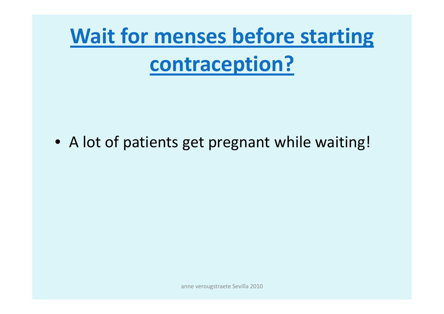# **Wait for menses before starting** contraception?

• A lot of patients get pregnant while waiting!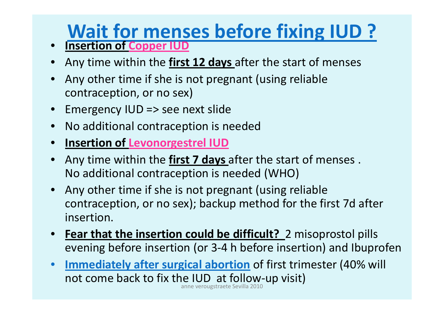## **Wait for menses before fixing IUD ?**

- **Insertion of Copper IUD**
- •Any time within the **first 12 days** after the start of menses
- • Any other time if she is not pregnant (using reliable contraception, or no sex)
- Emergency IUD => see next slide
- $\bullet$ No additional contraception is needed
- •**Insertion of Levonorgestrel IUD**
- • Any time within the **first 7 days** after the start of menses . No additional contraception is needed (WHO)
- Any other time if she is not pregnant (using reliable contraception, or no sex); backup method for the first 7d after insertion.
- **Fear that the insertion could be difficult?** 2 misoprostol pills evening before insertion (or 3‐4 h before insertion) and Ibuprofen
- $\bullet$  **Immediately after surgical abortion** of first trimester (40% will not come back to fix the IUD at follow‐up visit) anneverougstraete Sevilla 2010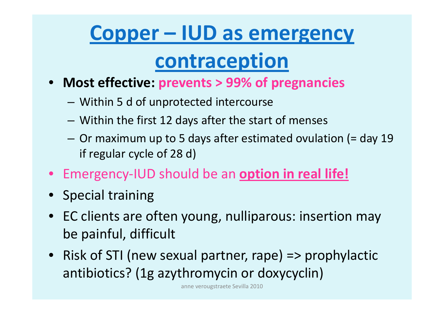#### **Copper – IUD as emergency**

#### **contraception**

- **Most effective: prevents <sup>&</sup>gt; 99% of pregnancies**
	- –Within 5 d of unprotected intercourse
	- –Within the first 12 days after the start of menses
	- Or maximum up to 5 days after estimated ovulation (= day 19 if regular cycle of 28 d)
- Emergency‐IUD should be an **option in real life!**
- Special training
- EC clients are often young, nulliparous: insertion may be painful, difficult
- Risk of STI (new sexual partner, rape) => prophylactic antibiotics? (1g azythromycin or doxycyclin)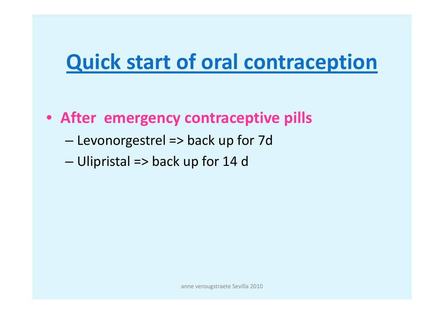#### **Quick start of oral contraception**

- After emergency contraceptive pills
	- Levonorgestrel => back up for 7d
	- Ulipristal => back up for 14 d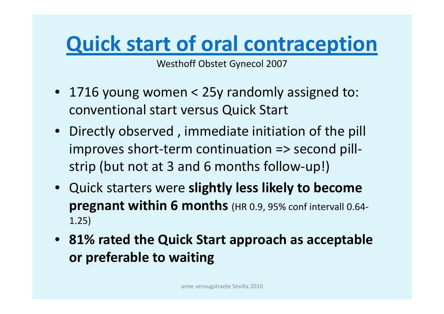### **Quick start of oral contraception**

Westhoff Obstet Gynecol 2007

- 1716 young women <sup>&</sup>lt; 25y randomly assigned to: conventional start versus Quick Start
- Directly observed , immediate initiation of the pill improves short‐term continuation => second pill‐ strip (but not at 3 and 6 months follow‐up!)
- Quick starters were **slightly less likely to become pregnant within 6 months** (HR 0.9, 95% conf intervall 0.64‐ 1.25)
- **81% rated the Quick Start approach as acceptable or preferable to waiting**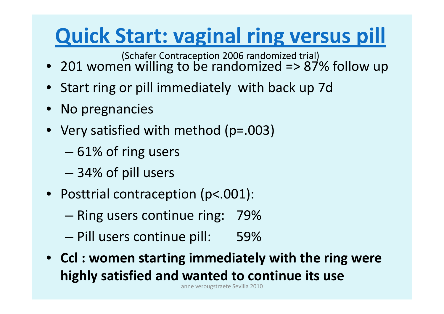## **Quick Start: vaginal ring versus pill**

(Schafer Contraception 2006 randomized trial)

- 201 women willing to be randomized => 87% follow up
- $\bullet$ Start ring or pill immediately with back up 7d
- •• No pregnancies
- Very satisfied with method (p=.003)
	- 61% of ring users
	- 34% of pill users
- Posttrial contraception (p<.001):
	- $-$  Ring users continue ring:  $\,$  79%  $\,$
	- –— Pill users continue pill: 59%
- **Ccl : women starting immediately with the ring were highly satisfied and wanted to continue its use**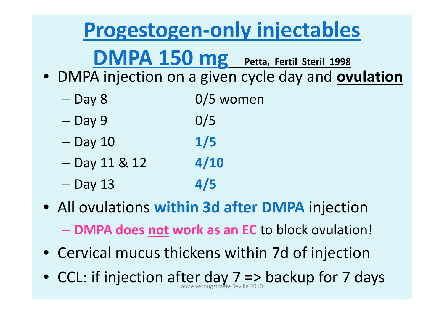#### **Progestogen‐only injectables**

**DMPA 150 mg Petta, Fertil Steril <sup>1998</sup>**

• DMPA injection on <sup>a</sup> given cycle day and **ovulation**

- Day 8  $0/5$  women
- –— Day 9 0/5
- –Day 10 **1/5**
- –Day 11 & 12 **4/10**
- –Day 13 **4/5**
- All ovulations **within 3d after DMPA** injection
	- **DMPA does not work as an EC** to block ovulation!
- Cervical mucus thickens within 7d of injection
- $\bullet\,$  CCL: if injection after day  $7$  => backup for 7 days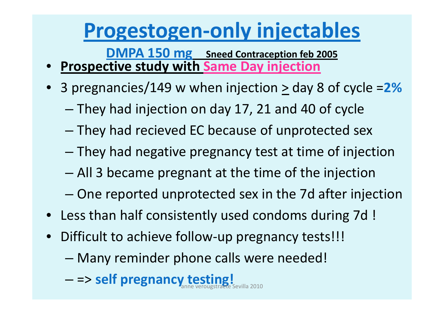#### **Progestogen‐only injectables**

**DMPA 150 mg Sneed Contraception feb <sup>2005</sup>**

- •**Prospective study with Same Day injection**
- $\bullet$ • 3 pregnancies/149 w when injection  $\geq$  day 8 of cycle =2%
	- –They had injection on day 17, 21 and 40 of cycle
	- –They had recieved EC because of unprotected sex
	- –They had negative pregnancy test at time of injection
	- –All 3 became pregnant at the time of the injection
	- One reported unprotected sex in the 7d after injection
- Less than half consistently used condoms during 7d !
- $\bullet$ ● Difficult to achieve follow-up pregnancy tests!!!
	- –Many reminder phone calls were needed!
	- – $-$  => self pregnancy testing!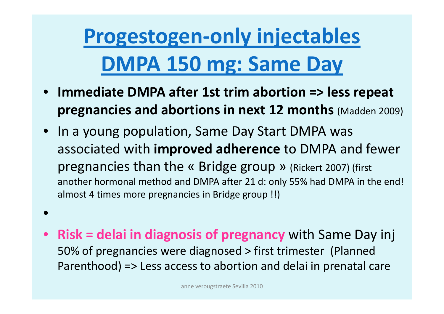# **Progestogen‐only injectables DMPA 150 mg: Same Day**

- **Immediate DMPA after 1st trim abortion => less repeat pregnancies and abortions in next 12 months** (Madden 2009)
- In <sup>a</sup> young population, Same Day Start DMPA was associated with **improved adherence** to DMPA and fewer pregnancies than the « Bridge group » (Rickert 2007) (first another hormonal method and DMPA after 21 d: only 55% had DMPA in the end! almost 4 times more pregnancies in Bridge group !!)
- •
- $\bullet$  **Risk <sup>=</sup> delai in diagnosis of pregnancy** with Same Day inj 50% of pregnancies were diagnosed <sup>&</sup>gt; first trimester (Planned Parenthood) => Less access to abortion and delai in prenatal care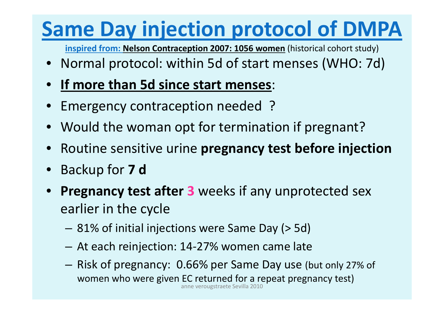## **Same Day injection protocol of DMPA**

**inspired from: Nelson Contraception 2007: 1056 women** (historical cohort study)

- Normal protocol: within 5d of start menses (WHO: 7d)
- •**If more than 5d since start menses**:
- •Emergency contraception needed ?
- Would the woman opt for termination if pregnant?
- •Routine sensitive urine **pregnancy test before injection**
- $\bullet$ Backup for **7 d**
- **Pregnancy test after 3** weeks if any unprotected sex earlier in the cycle
	- 81% of initial injections were Same Day (> 5d)
	- At each reinjection: 14‐27% women came late
	- – Risk of pregnancy: 0.66% per Same Day use (but only 27% of women who were given EC returned for <sup>a</sup> repeat pregnancy test) anneverougstraete Sevilla 2010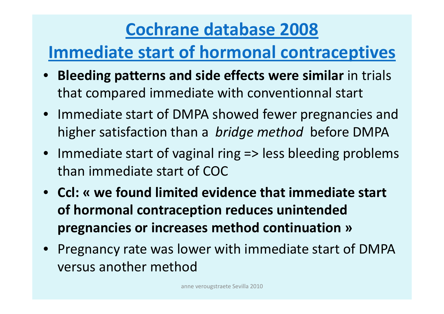#### **Cochrane database 2008**

#### **Immediate start of hormonal contraceptives**

- $\bullet$  **Bleeding patterns and side effects were similar** in trials that compared immediate with conventionnal start
- Immediate start of DMPA showed fewer pregnancies and higher satisfaction than <sup>a</sup> *bridge method* before DMPA
- Immediate start of vaginal ring => less bleeding problems than immediate start of COC
- **Ccl: « we found limited evidence that immediate start of hormonal contraception reduces unintended pregnancies or increases method continuation »**
- Pregnancy rate was lower with immediate start of DMPA versus another method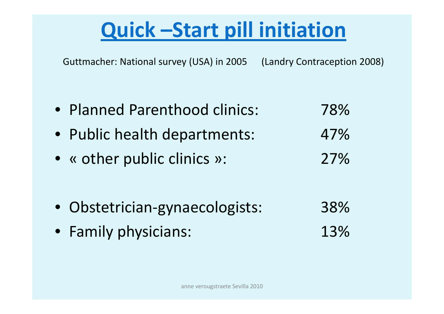## **Quick –Start pill initiation**

Guttmacher: National survey (USA) in 2005 (Landry Contraception 2008)

• Planned Parenthood clinics: 78%• Public health departments: 47% • « other public clinics »: 27% • Obstetrician‐gynaecologists: 38% • Family physicians: 13%